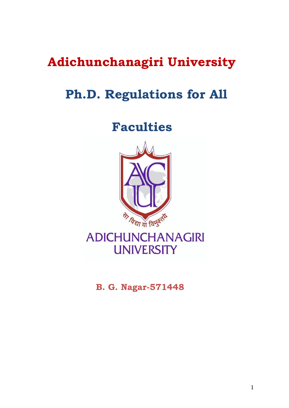# **Adichunchanagiri University**

# **Ph.D. Regulations for All**

 **Faculties**



**ADICHUNCHANAGIRI UNIVERSITY** 

 **B. G. Nagar-571448**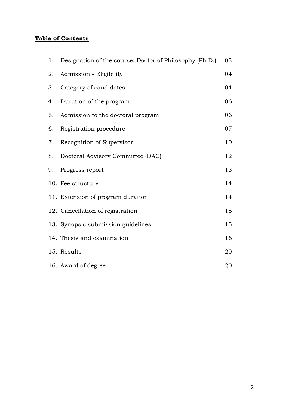# **Table of Contents**

| 1. | Designation of the course: Doctor of Philosophy (Ph.D.) | 03 |
|----|---------------------------------------------------------|----|
| 2. | Admission - Eligibility                                 | 04 |
| 3. | Category of candidates                                  | 04 |
| 4. | Duration of the program                                 | 06 |
| 5. | Admission to the doctoral program                       | 06 |
| 6. | Registration procedure                                  | 07 |
| 7. | Recognition of Supervisor                               | 10 |
| 8. | Doctoral Advisory Committee (DAC)                       | 12 |
| 9. | Progress report                                         | 13 |
|    | 10. Fee structure                                       | 14 |
|    | 11. Extension of program duration                       | 14 |
|    | 12. Cancellation of registration                        | 15 |
|    | 13. Synopsis submission guidelines                      | 15 |
|    | 14. Thesis and examination                              | 16 |
|    | 15. Results                                             | 20 |
|    | 16. Award of degree                                     | 20 |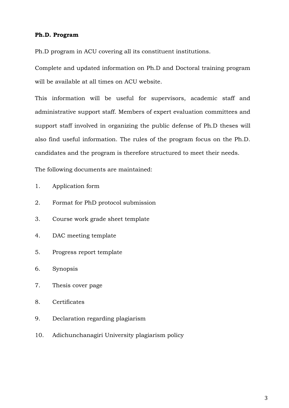#### **Ph.D. Program**

Ph.D program in ACU covering all its constituent institutions.

Complete and updated information on Ph.D and Doctoral training program will be available at all times on ACU website.

This information will be useful for supervisors, academic staff and administrative support staff. Members of expert evaluation committees and support staff involved in organizing the public defense of Ph.D theses will also find useful information. The rules of the program focus on the Ph.D. candidates and the program is therefore structured to meet their needs.

The following documents are maintained:

- 1. Application form
- 2. Format for PhD protocol submission
- 3. Course work grade sheet template
- 4. DAC meeting template
- 5. Progress report template
- 6. Synopsis
- 7. Thesis cover page
- 8. Certificates
- 9. Declaration regarding plagiarism
- 10. Adichunchanagiri University plagiarism policy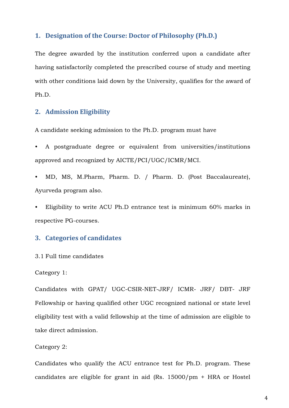# **1. Designation of the Course: Doctor of Philosophy (Ph.D.)**

The degree awarded by the institution conferred upon a candidate after having satisfactorily completed the prescribed course of study and meeting with other conditions laid down by the University, qualifies for the award of Ph.D.

# **2. Admission Eligibility**

A candidate seeking admission to the Ph.D. program must have

• A postgraduate degree or equivalent from universities/institutions approved and recognized by AICTE/PCI/UGC/ICMR/MCI.

• MD, MS, M.Pharm, Pharm. D. / Pharm. D. (Post Baccalaureate), Ayurveda program also.

• Eligibility to write ACU Ph.D entrance test is minimum 60% marks in respective PG-courses.

# **3. Categories of candidates**

#### 3.1 Full time candidates

#### Category 1:

Candidates with GPAT/ UGC-CSIR-NET-JRF/ ICMR- JRF/ DBT- JRF Fellowship or having qualified other UGC recognized national or state level eligibility test with a valid fellowship at the time of admission are eligible to take direct admission.

#### Category 2:

Candidates who qualify the ACU entrance test for Ph.D. program. These candidates are eligible for grant in aid (Rs. 15000/pm + HRA or Hostel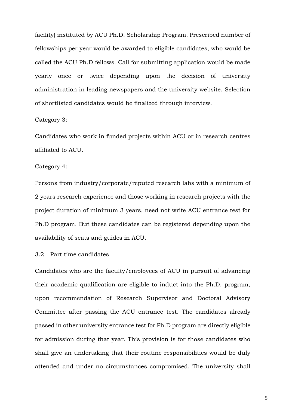facility) instituted by ACU Ph.D. Scholarship Program. Prescribed number of fellowships per year would be awarded to eligible candidates, who would be called the ACU Ph.D fellows. Call for submitting application would be made yearly once or twice depending upon the decision of university administration in leading newspapers and the university website. Selection of shortlisted candidates would be finalized through interview.

#### Category 3:

Candidates who work in funded projects within ACU or in research centres affiliated to ACU.

#### Category 4:

Persons from industry/corporate/reputed research labs with a minimum of 2 years research experience and those working in research projects with the project duration of minimum 3 years, need not write ACU entrance test for Ph.D program. But these candidates can be registered depending upon the availability of seats and guides in ACU.

#### 3.2 Part time candidates

Candidates who are the faculty/employees of ACU in pursuit of advancing their academic qualification are eligible to induct into the Ph.D. program, upon recommendation of Research Supervisor and Doctoral Advisory Committee after passing the ACU entrance test. The candidates already passed in other university entrance test for Ph.D program are directly eligible for admission during that year. This provision is for those candidates who shall give an undertaking that their routine responsibilities would be duly attended and under no circumstances compromised. The university shall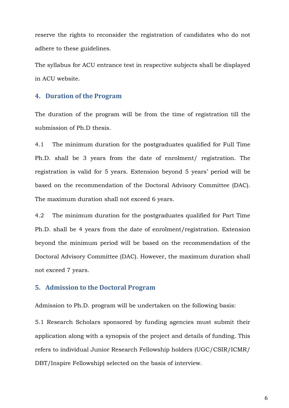reserve the rights to reconsider the registration of candidates who do not adhere to these guidelines.

The syllabus for ACU entrance test in respective subjects shall be displayed in ACU website.

# **4. Duration of the Program**

The duration of the program will be from the time of registration till the submission of Ph.D thesis.

4.1 The minimum duration for the postgraduates qualified for Full Time Ph.D. shall be 3 years from the date of enrolment/ registration. The registration is valid for 5 years. Extension beyond 5 years' period will be based on the recommendation of the Doctoral Advisory Committee (DAC). The maximum duration shall not exceed 6 years.

4.2 The minimum duration for the postgraduates qualified for Part Time Ph.D. shall be 4 years from the date of enrolment/registration. Extension beyond the minimum period will be based on the recommendation of the Doctoral Advisory Committee (DAC). However, the maximum duration shall not exceed 7 years.

#### **5. Admission to the Doctoral Program**

Admission to Ph.D. program will be undertaken on the following basis:

5.1 Research Scholars sponsored by funding agencies must submit their application along with a synopsis of the project and details of funding. This refers to individual Junior Research Fellowship holders (UGC/CSIR/ICMR/ DBT/Inspire Fellowship) selected on the basis of interview.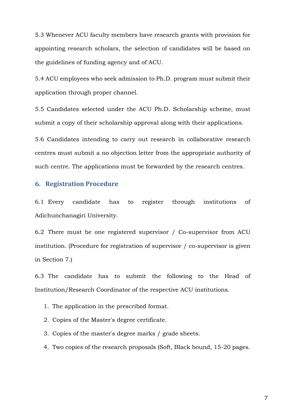5.3 Whenever ACU faculty members have research grants with provision for appointing research scholars, the selection of candidates will be based on the guidelines of funding agency and of ACU.

5.4 ACU employees who seek admission to Ph.D. program must submit their application through proper channel.

5.5 Candidates selected under the ACU Ph.D. Scholarship scheme, must submit a copy of their scholarship approval along with their applications.

5.6 Candidates intending to carry out research in collaborative research centres must submit a no objection letter from the appropriate authority of such centre. The applications must be forwarded by the research centres.

# **6. Registration Procedure**

6.1 Every candidate has to register through institutions of Adichunchanagiri University.

6.2 There must be one registered supervisor / Co-supervisor from ACU institution. (Procedure for registration of supervisor / co-supervisor is given in Section 7.)

6.3 The candidate has to submit the following to the Head of Institution/Research Coordinator of the respective ACU institutions.

- 1. The application in the prescribed format.
- 2. Copies of the Master's degree certificate.
- 3. Copies of the master's degree marks / grade sheets.
- 4. Two copies of the research proposals (Soft, Black bound, 15-20 pages.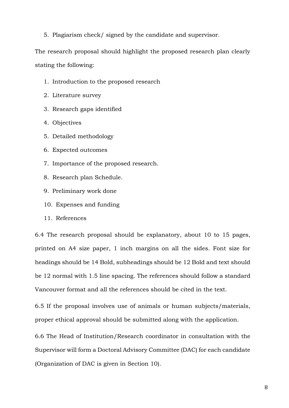5. Plagiarism check/ signed by the candidate and supervisor.

The research proposal should highlight the proposed research plan clearly stating the following:

- 1. Introduction to the proposed research
- 2. Literature survey
- 3. Research gaps identified
- 4. Objectives
- 5. Detailed methodology
- 6. Expected outcomes
- 7. Importance of the proposed research.
- 8. Research plan Schedule.
- 9. Preliminary work done
- 10. Expenses and funding
- 11. References

6.4 The research proposal should be explanatory, about 10 to 15 pages, printed on A4 size paper, 1 inch margins on all the sides. Font size for headings should be 14 Bold, subheadings should be 12 Bold and text should be 12 normal with 1.5 line spacing. The references should follow a standard Vancouver format and all the references should be cited in the text.

6.5 If the proposal involves use of animals or human subjects/materials, proper ethical approval should be submitted along with the application.

6.6 The Head of Institution/Research coordinator in consultation with the Supervisor will form a Doctoral Advisory Committee (DAC) for each candidate (Organization of DAC is given in Section 10).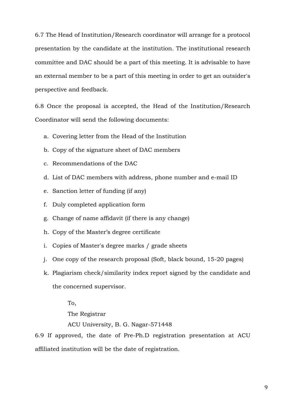6.7 The Head of Institution/Research coordinator will arrange for a protocol presentation by the candidate at the institution. The institutional research committee and DAC should be a part of this meeting. It is advisable to have an external member to be a part of this meeting in order to get an outsider's perspective and feedback.

6.8 Once the proposal is accepted, the Head of the Institution/Research Coordinator will send the following documents:

- a. Covering letter from the Head of the Institution
- b. Copy of the signature sheet of DAC members
- c. Recommendations of the DAC
- d. List of DAC members with address, phone number and e-mail ID
- e. Sanction letter of funding (if any)
- f. Duly completed application form
- g. Change of name affidavit (if there is any change)
- h. Copy of the Master's degree certificate
- i. Copies of Master's degree marks / grade sheets
- j. One copy of the research proposal (Soft, black bound, 15-20 pages)
- k. Plagiarism check/similarity index report signed by the candidate and the concerned supervisor.

To,

The Registrar

ACU University, B. G. Nagar-571448

6.9 If approved, the date of Pre-Ph.D registration presentation at ACU affiliated institution will be the date of registration.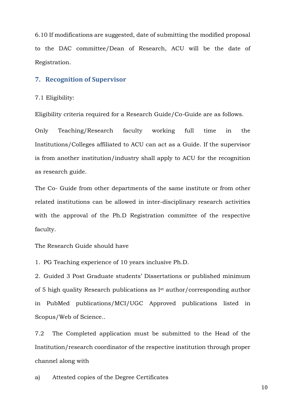6.10 If modifications are suggested, date of submitting the modified proposal to the DAC committee/Dean of Research, ACU will be the date of Registration.

# **7. Recognition of Supervisor**

#### 7.1 Eligibility:

Eligibility criteria required for a Research Guide/Co-Guide are as follows.

Only Teaching/Research faculty working full time in the Institutions/Colleges affiliated to ACU can act as a Guide. If the supervisor is from another institution/industry shall apply to ACU for the recognition as research guide.

The Co- Guide from other departments of the same institute or from other related institutions can be allowed in inter-disciplinary research activities with the approval of the Ph.D Registration committee of the respective faculty.

The Research Guide should have

1. PG Teaching experience of 10 years inclusive Ph.D.

2. Guided 3 Post Graduate students' Dissertations or published minimum of 5 high quality Research publications as Ist author/corresponding author in PubMed publications/MCI/UGC Approved publications listed in Scopus/Web of Science..

7.2 The Completed application must be submitted to the Head of the Institution/research coordinator of the respective institution through proper channel along with

a) Attested copies of the Degree Certificates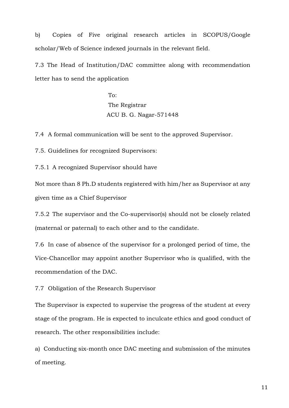b) Copies of Five original research articles in SCOPUS/Google scholar/Web of Science indexed journals in the relevant field.

7.3 The Head of Institution/DAC committee along with recommendation letter has to send the application

> To: The Registrar ACU B. G. Nagar-571448

7.4 A formal communication will be sent to the approved Supervisor.

7.5. Guidelines for recognized Supervisors:

7.5.1 A recognized Supervisor should have

Not more than 8 Ph.D students registered with him/her as Supervisor at any given time as a Chief Supervisor

7.5.2 The supervisor and the Co-supervisor(s) should not be closely related (maternal or paternal) to each other and to the candidate.

7.6 In case of absence of the supervisor for a prolonged period of time, the Vice-Chancellor may appoint another Supervisor who is qualified, with the recommendation of the DAC.

7.7 Obligation of the Research Supervisor

The Supervisor is expected to supervise the progress of the student at every stage of the program. He is expected to inculcate ethics and good conduct of research. The other responsibilities include:

a) Conducting six-month once DAC meeting and submission of the minutes of meeting.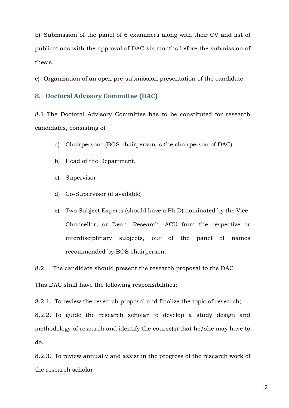b) Submission of the panel of 6 examiners along with their CV and list of publications with the approval of DAC six months before the submission of thesis.

c) Organization of an open pre-submission presentation of the candidate.

# **8. Doctoral Advisory Committee (DAC)**

8.1 The Doctoral Advisory Committee has to be constituted for research candidates, consisting of

- a) Chairperson\* (BOS chairperson is the chairperson of DAC)
- b) Head of the Department.
- c) Supervisor
- d) Co-Supervisor (if available)
- e) Two Subject Experts (should have a Ph.D) nominated by the Vice-Chancellor, or Dean, Research, ACU from the respective or interdisciplinary subjects, out of the panel of names recommended by BOS chairperson.

8.2 The candidate should present the research proposal to the DAC

This DAC shall have the following responsibilities:

8.2.1. To review the research proposal and finalize the topic of research;

8.2.2. To guide the research scholar to develop a study design and methodology of research and identify the course(s) that he/she may have to do.

8.2.3. To review annually and assist in the progress of the research work of the research scholar.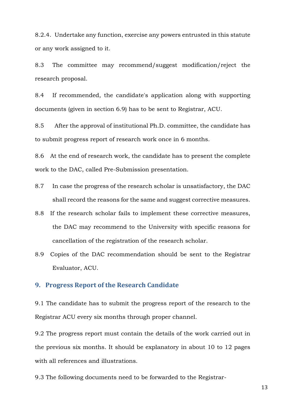8.2.4. Undertake any function, exercise any powers entrusted in this statute or any work assigned to it.

8.3 The committee may recommend/suggest modification/reject the research proposal.

8.4 If recommended, the candidate's application along with supporting documents (given in section 6.9) has to be sent to Registrar, ACU.

8.5 After the approval of institutional Ph.D. committee, the candidate has to submit progress report of research work once in 6 months.

8.6 At the end of research work, the candidate has to present the complete work to the DAC, called Pre-Submission presentation.

- 8.7 In case the progress of the research scholar is unsatisfactory, the DAC shall record the reasons for the same and suggest corrective measures.
- 8.8 If the research scholar fails to implement these corrective measures, the DAC may recommend to the University with specific reasons for cancellation of the registration of the research scholar.
- 8.9 Copies of the DAC recommendation should be sent to the Registrar Evaluator, ACU.

#### **9. Progress Report of the Research Candidate**

9.1 The candidate has to submit the progress report of the research to the Registrar ACU every six months through proper channel.

9.2 The progress report must contain the details of the work carried out in the previous six months. It should be explanatory in about 10 to 12 pages with all references and illustrations.

9.3 The following documents need to be forwarded to the Registrar-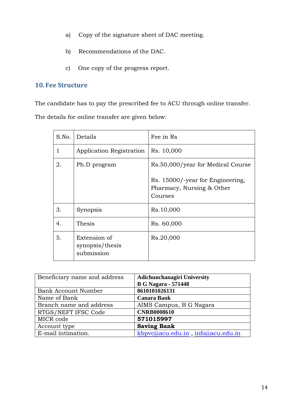- a) Copy of the signature sheet of DAC meeting.
- b) Recommendations of the DAC.
- c) One copy of the progress report.

# **10.Fee Structure**

The candidate has to pay the prescribed fee to ACU through online transfer.

The details for online transfer are given below:

| S.No. | Details                                       | Fee in Rs                                                                |
|-------|-----------------------------------------------|--------------------------------------------------------------------------|
| 1     | Application Registration                      | Rs. 10,000                                                               |
| 2.    | Ph.D program                                  | Rs.50,000/year for Medical Course                                        |
|       |                                               | Rs. 15000/-year for Engineering,<br>Pharmacy, Nursing & Other<br>Courses |
| 3.    | Synopsis                                      | Rs.10,000                                                                |
| 4.    | Thesis                                        | Rs. 60,000                                                               |
| 5.    | Extension of<br>synopsis/thesis<br>submission | Rs.20,000                                                                |

| Beneficiary name and address | <b>Adichunchanagiri University</b> |
|------------------------------|------------------------------------|
|                              | <b>B G Nagara - 571448</b>         |
| <b>Bank Account Number</b>   | 8610101026131                      |
| Name of Bank                 | <b>Canara Bank</b>                 |
| Branch name and address      | AIMS Campus, B G Nagara            |
| RTGS/NEFT IFSC Code          | <b>CNRB0008610</b>                 |
| MICR code                    | 571015997                          |
| Account type                 | <b>Saving Bank</b>                 |
| E-mail intimation.           | kbpvc@acu.edu.in, info@acu.edu.in  |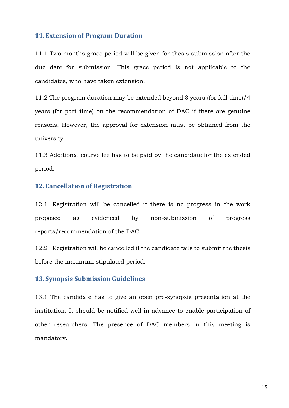## **11.Extension of Program Duration**

11.1 Two months grace period will be given for thesis submission after the due date for submission. This grace period is not applicable to the candidates, who have taken extension.

11.2 The program duration may be extended beyond 3 years (for full time)/4 years (for part time) on the recommendation of DAC if there are genuine reasons. However, the approval for extension must be obtained from the university.

11.3 Additional course fee has to be paid by the candidate for the extended period.

## **12.Cancellation of Registration**

12.1 Registration will be cancelled if there is no progress in the work proposed as evidenced by non-submission of progress reports/recommendation of the DAC.

12.2 Registration will be cancelled if the candidate fails to submit the thesis before the maximum stipulated period.

# **13.Synopsis Submission Guidelines**

13.1 The candidate has to give an open pre-synopsis presentation at the institution. It should be notified well in advance to enable participation of other researchers. The presence of DAC members in this meeting is mandatory.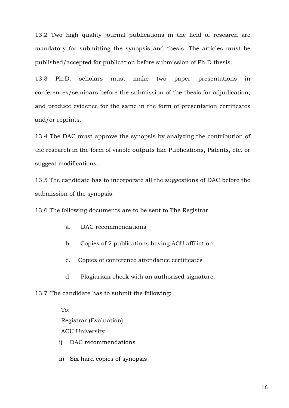13.2 Two high quality journal publications in the field of research are mandatory for submitting the synopsis and thesis. The articles must be published/accepted for publication before submission of Ph.D thesis.

13.3 Ph.D. scholars must make two paper presentations in conferences/seminars before the submission of the thesis for adjudication, and produce evidence for the same in the form of presentation certificates and/or reprints.

13.4 The DAC must approve the synopsis by analyzing the contribution of the research in the form of visible outputs like Publications, Patents, etc. or suggest modifications.

13.5 The candidate has to incorporate all the suggestions of DAC before the submission of the synopsis.

13.6 The following documents are to be sent to The Registrar

- a. DAC recommendations
- b. Copies of 2 publications having ACU affiliation
- c. Copies of conference attendance certificates
- d. Plagiarism check with an authorized signature.
- 13.7 The candidate has to submit the following:

To: Registrar (Evaluation) ACU University

- i) DAC recommendations
- ii) Six hard copies of synopsis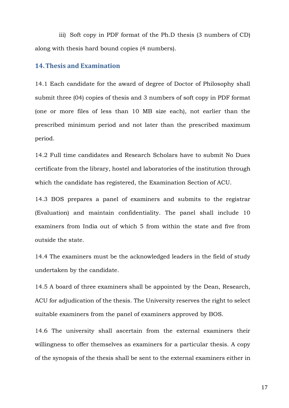iii) Soft copy in PDF format of the Ph.D thesis (3 numbers of CD) along with thesis hard bound copies (4 numbers).

# **14.Thesis and Examination**

14.1 Each candidate for the award of degree of Doctor of Philosophy shall submit three (04) copies of thesis and 3 numbers of soft copy in PDF format (one or more files of less than 10 MB size each), not earlier than the prescribed minimum period and not later than the prescribed maximum period.

14.2 Full time candidates and Research Scholars have to submit No Dues certificate from the library, hostel and laboratories of the institution through which the candidate has registered, the Examination Section of ACU.

14.3 BOS prepares a panel of examiners and submits to the registrar (Evaluation) and maintain confidentiality. The panel shall include 10 examiners from India out of which 5 from within the state and five from outside the state.

14.4 The examiners must be the acknowledged leaders in the field of study undertaken by the candidate.

14.5 A board of three examiners shall be appointed by the Dean, Research, ACU for adjudication of the thesis. The University reserves the right to select suitable examiners from the panel of examiners approved by BOS.

14.6 The university shall ascertain from the external examiners their willingness to offer themselves as examiners for a particular thesis. A copy of the synopsis of the thesis shall be sent to the external examiners either in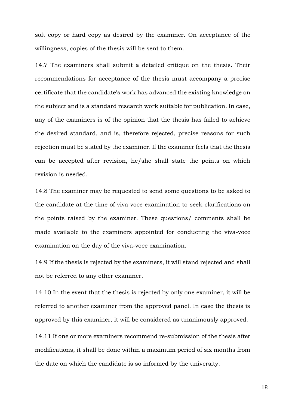soft copy or hard copy as desired by the examiner. On acceptance of the willingness, copies of the thesis will be sent to them.

14.7 The examiners shall submit a detailed critique on the thesis. Their recommendations for acceptance of the thesis must accompany a precise certificate that the candidate's work has advanced the existing knowledge on the subject and is a standard research work suitable for publication. In case, any of the examiners is of the opinion that the thesis has failed to achieve the desired standard, and is, therefore rejected, precise reasons for such rejection must be stated by the examiner. If the examiner feels that the thesis can be accepted after revision, he/she shall state the points on which revision is needed.

14.8 The examiner may be requested to send some questions to be asked to the candidate at the time of viva voce examination to seek clarifications on the points raised by the examiner. These questions/ comments shall be made available to the examiners appointed for conducting the viva-voce examination on the day of the viva-voce examination.

14.9 If the thesis is rejected by the examiners, it will stand rejected and shall not be referred to any other examiner.

14.10 In the event that the thesis is rejected by only one examiner, it will be referred to another examiner from the approved panel. In case the thesis is approved by this examiner, it will be considered as unanimously approved.

14.11 If one or more examiners recommend re-submission of the thesis after modifications, it shall be done within a maximum period of six months from the date on which the candidate is so informed by the university.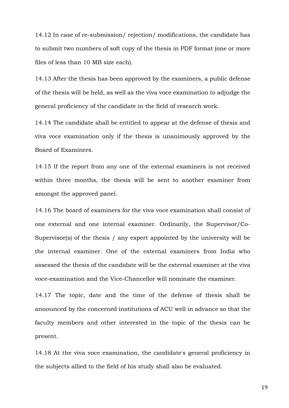14.12 In case of re-submission/ rejection/ modifications, the candidate has to submit two numbers of soft copy of the thesis in PDF format (one or more files of less than 10 MB size each).

14.13 After the thesis has been approved by the examiners, a public defense of the thesis will be held, as well as the viva voce examination to adjudge the general proficiency of the candidate in the field of research work.

14.14 The candidate shall be entitled to appear at the defense of thesis and viva voce examination only if the thesis is unanimously approved by the Board of Examiners.

14.15 If the report from any one of the external examiners is not received within three months, the thesis will be sent to another examiner from amongst the approved panel.

14.16 The board of examiners for the viva voce examination shall consist of one external and one internal examiner. Ordinarily, the Supervisor/Co-Supervisor(s) of the thesis / any expert appointed by the university will be the internal examiner. One of the external examiners from India who assessed the thesis of the candidate will be the external examiner at the viva voce-examination and the Vice-Chancellor will nominate the examiner.

14.17 The topic, date and the time of the defense of thesis shall be announced by the concerned institutions of ACU well in advance so that the faculty members and other interested in the topic of the thesis can be present.

14.18 At the viva voce examination, the candidate's general proficiency in the subjects allied to the field of his study shall also be evaluated.